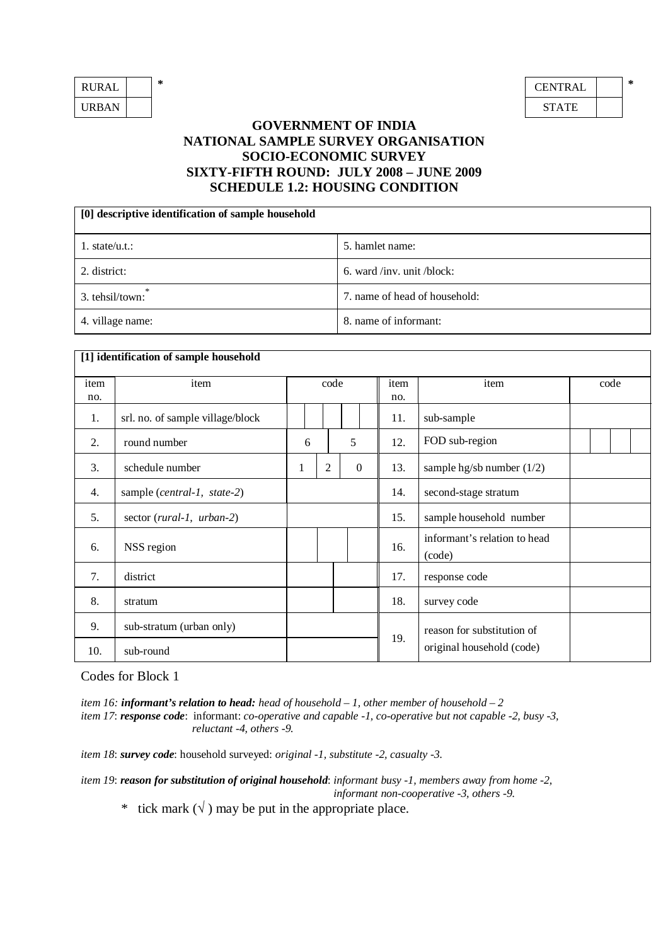| <b>RURAL</b> | ∗ | <b>CENTRA</b> |
|--------------|---|---------------|
| <b>URBAN</b> |   | <b>STATE</b>  |

| RURAL | ∗ | CENTRAL      | * |
|-------|---|--------------|---|
| URBAN |   | <b>STATE</b> |   |

## **GOVERNMENT OF INDIA NATIONAL SAMPLE SURVEY ORGANISATION SOCIO-ECONOMIC SURVEY SIXTY-FIFTH ROUND: JULY 2008 – JUNE 2009 SCHEDULE 1.2: HOUSING CONDITION**

| [0] descriptive identification of sample household |                               |  |  |  |  |  |  |  |
|----------------------------------------------------|-------------------------------|--|--|--|--|--|--|--|
| 1. state/u.t.:                                     | 5. hamlet name:               |  |  |  |  |  |  |  |
| 2. district:                                       | 6. ward /inv. unit /block:    |  |  |  |  |  |  |  |
| 3. tehsil/town:                                    | 7. name of head of household: |  |  |  |  |  |  |  |
| 4. village name:                                   | 8. name of informant:         |  |  |  |  |  |  |  |

|      | [1] identification of sample household |   |     |                |   |                            |      |                                        |  |      |  |  |
|------|----------------------------------------|---|-----|----------------|---|----------------------------|------|----------------------------------------|--|------|--|--|
| item | item                                   |   |     | code           |   |                            | item | item                                   |  | code |  |  |
| no.  |                                        |   |     |                |   |                            | no.  |                                        |  |      |  |  |
| 1.   | srl. no. of sample village/block       |   | 11. |                |   | sub-sample                 |      |                                        |  |      |  |  |
| 2.   | round number                           |   | 6   |                | 5 |                            | 12.  | FOD sub-region                         |  |      |  |  |
| 3.   | schedule number                        | 1 |     | $\overline{2}$ |   | $\overline{0}$             | 13.  | sample hg/sb number $(1/2)$            |  |      |  |  |
| 4.   | sample (central-1, state-2)            |   |     |                |   |                            | 14.  | second-stage stratum                   |  |      |  |  |
| 5.   | sector (rural-1, urban-2)              |   |     |                |   |                            | 15.  | sample household number                |  |      |  |  |
| 6.   | NSS region                             |   |     |                |   |                            | 16.  | informant's relation to head<br>(code) |  |      |  |  |
| 7.   | district                               |   |     |                |   |                            | 17.  | response code                          |  |      |  |  |
| 8.   | stratum                                |   |     |                |   |                            | 18.  | survey code                            |  |      |  |  |
| 9.   | sub-stratum (urban only)               |   |     |                |   | reason for substitution of |      |                                        |  |      |  |  |
| 10.  | sub-round                              |   |     |                |   |                            | 19.  | original household (code)              |  |      |  |  |

Codes for Block 1

*item 16: informant's relation to head: head of household – 1, other member of household – 2 item 17*: *response code*:informant: *co-operative and capable -1, co-operative but not capable -2, busy -3, reluctant -4, others -9.*

*item 18*: *survey code*: household surveyed: *original -1, substitute -2, casualty -3.*

*item 19*: *reason for substitution of original household*: *informant busy -1, members away from home -2, informant non-cooperative -3, others -9.*

\* tick mark  $(\sqrt{})$  may be put in the appropriate place.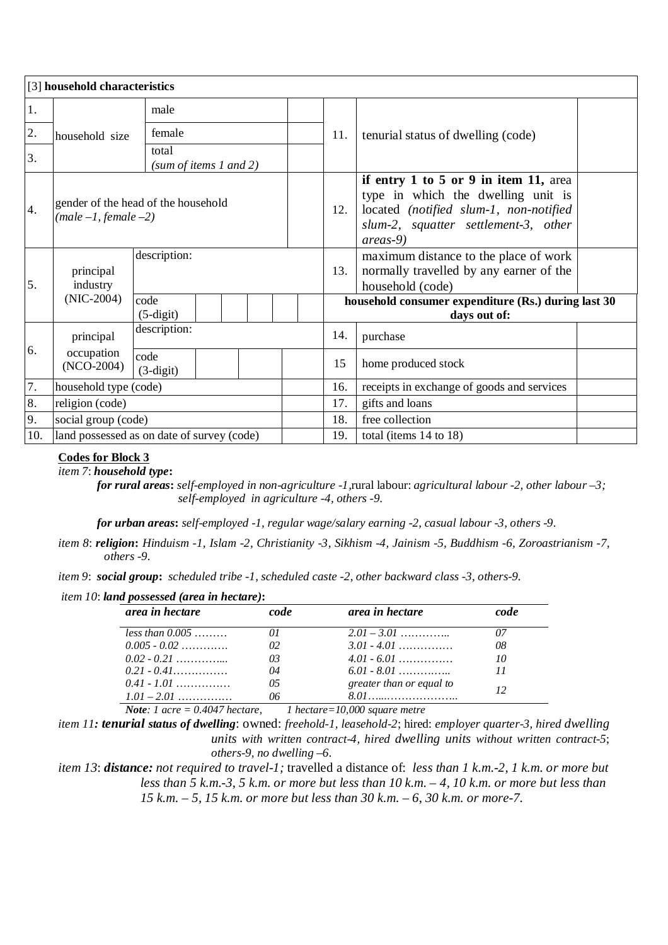|     | [3] household characteristics |                                            |  |  |                                                                     |                                                                                                                                                                           |  |  |  |  |
|-----|-------------------------------|--------------------------------------------|--|--|---------------------------------------------------------------------|---------------------------------------------------------------------------------------------------------------------------------------------------------------------------|--|--|--|--|
| 1.  |                               | male                                       |  |  |                                                                     |                                                                                                                                                                           |  |  |  |  |
| 2.  | household size                | female<br>total<br>(sum of items 1 and 2)  |  |  | 11.                                                                 | tenurial status of dwelling (code)                                                                                                                                        |  |  |  |  |
| 3.  |                               |                                            |  |  |                                                                     |                                                                                                                                                                           |  |  |  |  |
| 4.  | $(male-1, female-2)$          | gender of the head of the household        |  |  | 12.                                                                 | if entry 1 to 5 or 9 in item 11, area<br>type in which the dwelling unit is<br>located (notified slum-1, non-notified<br>slum-2, squatter settlement-3, other<br>areas-9) |  |  |  |  |
| 5.  | principal<br>industry         | description:                               |  |  | 13.                                                                 | maximum distance to the place of work<br>normally travelled by any earner of the<br>household (code)                                                                      |  |  |  |  |
|     | $(NIC-2004)$                  | code<br>$(5-digit)$                        |  |  | household consumer expenditure (Rs.) during last 30<br>days out of: |                                                                                                                                                                           |  |  |  |  |
|     | principal                     | description:                               |  |  |                                                                     | purchase                                                                                                                                                                  |  |  |  |  |
| 6.  | occupation<br>$(NO-2004)$     | code<br>$(3-digit)$                        |  |  | 15                                                                  | home produced stock                                                                                                                                                       |  |  |  |  |
| 7.  | household type (code)         |                                            |  |  | 16.                                                                 | receipts in exchange of goods and services                                                                                                                                |  |  |  |  |
| 8.  | religion (code)               |                                            |  |  | 17.                                                                 | gifts and loans                                                                                                                                                           |  |  |  |  |
| 9.  | social group (code)           |                                            |  |  | 18.                                                                 | free collection                                                                                                                                                           |  |  |  |  |
| 10. |                               | land possessed as on date of survey (code) |  |  | 19.                                                                 | total (items 14 to 18)                                                                                                                                                    |  |  |  |  |

## **Codes for Block 3**

*item 7*: *household type***:** 

 *for rural areas***:** *self-employed in non-agriculture -1,*rural labour: *agricultural labour -2, other labour –3; self-employed in agriculture -4, others -9.* 

 *for urban areas***:** *self-employed -1, regular wage/salary earning -2, casual labour -3, others -9.*

- *item 8*: *religion***:** *Hinduism -1, Islam -2, Christianity -3, Sikhism -4, Jainism -5, Buddhism -6, Zoroastrianism -7, others -9*.
- *item 9*: *social group***:** *scheduled tribe -1, scheduled caste -2, other backward class -3, others-9.*

|  |  |  | item 10: land possessed (area in hectare): |  |  |  |
|--|--|--|--------------------------------------------|--|--|--|
|--|--|--|--------------------------------------------|--|--|--|

| area in hectare   | <i>code</i> | area in hectare          | <i>code</i> |
|-------------------|-------------|--------------------------|-------------|
| $less than 0.005$ |             | $2.01 - 3.01$            | 07          |
| $0.005 - 0.02$    | 02          | $3.01 - 4.01$            | 08          |
| $0.02 - 0.21$     | 03          | $4.01 - 6.01$            | 10          |
| $0.21 - 0.41$     | 04          | $6.01 - 8.01$            | 11          |
| $0.41 - 1.01$     | 05          | greater than or equal to |             |
| $1.01 - 2.01$     | 06          | 801 — 100                | 12          |

*Note: 1 acre = 0.4047 hectare, 1 hectare=10,000 square metre*

*item 11: tenurial status of dwelling*: owned: *freehold-1*, *leasehold-2*; hired: *employer quarter-3*, *hired dwelling units with written contract-4, hired dwelling units without written contract-5*; *others-9, no dwelling –6.*

*item 13*: *distance: not required to travel-1;* travelled a distance of: *less than 1 k.m.-2, 1 k.m. or more but less than 5 k.m.-3, 5 k.m. or more but less than 10 k.m. – 4, 10 k.m. or more but less than 15 k.m. – 5, 15 k.m. or more but less than 30 k.m. – 6, 30 k.m. or more-7.*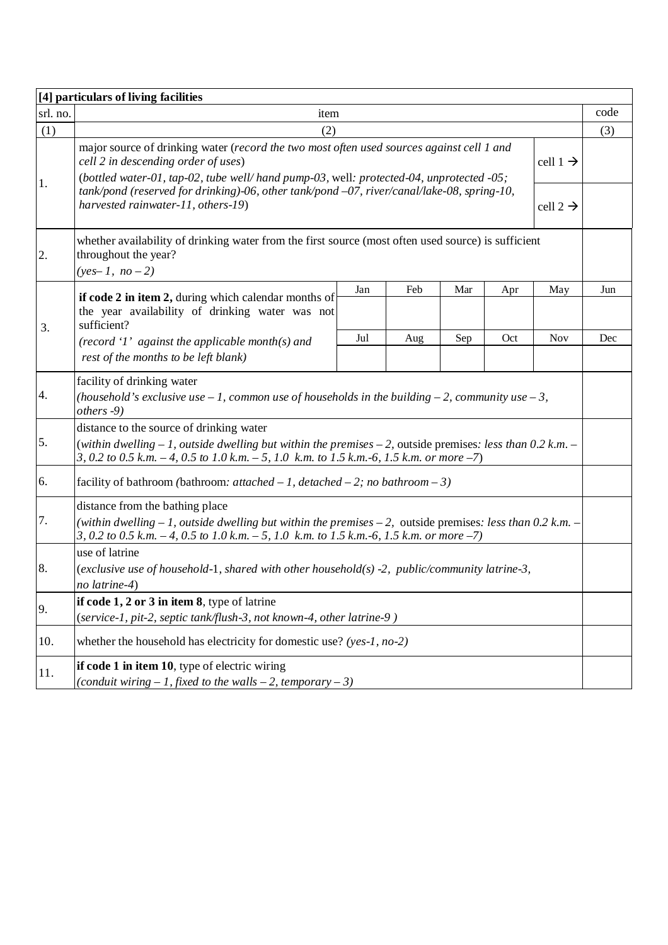|          | [4] particulars of living facilities                                                                                                                                                                                                              |     |                      |     |     |                      |      |  |  |  |
|----------|---------------------------------------------------------------------------------------------------------------------------------------------------------------------------------------------------------------------------------------------------|-----|----------------------|-----|-----|----------------------|------|--|--|--|
| srl. no. | item                                                                                                                                                                                                                                              |     |                      |     |     |                      | code |  |  |  |
| (1)      | (2)                                                                                                                                                                                                                                               |     |                      |     |     |                      | (3)  |  |  |  |
|          | major source of drinking water (record the two most often used sources against cell 1 and<br>cell 2 in descending order of uses)<br>(bottled water-01, tap-02, tube well/hand pump-03, well: protected-04, unprotected -05;                       |     |                      |     |     | cell $1 \rightarrow$ |      |  |  |  |
| 1.       | $tank/pond$ (reserved for drinking)-06, other $tank/pond -07$ , river/canal/lake-08, spring-10,<br>harvested rainwater-11, others-19)                                                                                                             |     | cell 2 $\rightarrow$ |     |     |                      |      |  |  |  |
| 2.       | whether availability of drinking water from the first source (most often used source) is sufficient<br>throughout the year?<br>$(yes-1, no-2)$                                                                                                    |     |                      |     |     |                      |      |  |  |  |
|          | if code 2 in item 2, during which calendar months of                                                                                                                                                                                              | Jan | Feb                  | Mar | Apr | May                  | Jun  |  |  |  |
| 3.       | the year availability of drinking water was not<br>sufficient?                                                                                                                                                                                    |     |                      |     |     |                      |      |  |  |  |
|          | (record '1' against the applicable month(s) and<br>rest of the months to be left blank)                                                                                                                                                           | Jul | Aug                  | Sep | Oct | <b>Nov</b>           | Dec  |  |  |  |
| 4.       | facility of drinking water<br>(household's exclusive use $-1$ , common use of households in the building $-2$ , community use $-3$ ,<br>others -9)                                                                                                |     |                      |     |     |                      |      |  |  |  |
|          | distance to the source of drinking water                                                                                                                                                                                                          |     |                      |     |     |                      |      |  |  |  |
| 5.       | (within dwelling $-1$ , outside dwelling but within the premises $-2$ , outside premises: less than 0.2 k.m. $-$<br>3, 0.2 to 0.5 k.m. - 4, 0.5 to 1.0 k.m. - 5, 1.0 k.m. to 1.5 k.m. - 6, 1.5 k.m. or more -7)                                   |     |                      |     |     |                      |      |  |  |  |
| 6.       | facility of bathroom (bathroom: <i>attached - 1</i> , <i>detached - 2</i> ; <i>no bathroom - 3</i> )                                                                                                                                              |     |                      |     |     |                      |      |  |  |  |
| 7.       | distance from the bathing place<br>(within dwelling $-1$ , outside dwelling but within the premises $-2$ , outside premises: less than 0.2 k.m. $-$<br>3, 0.2 to 0.5 k.m. - 4, 0.5 to 1.0 k.m. - 5, 1.0 k.m. to 1.5 k.m. -6, 1.5 k.m. or more -7) |     |                      |     |     |                      |      |  |  |  |
|          | use of latrine                                                                                                                                                                                                                                    |     |                      |     |     |                      |      |  |  |  |
| 8.       | (exclusive use of household-1, shared with other household(s) -2, public/community latrine-3,<br>no latrine-4)                                                                                                                                    |     |                      |     |     |                      |      |  |  |  |
| 9.       | if code $1, 2$ or $3$ in item $8$ , type of latrine<br>(service-1, pit-2, septic tank/flush-3, not known-4, other latrine-9)                                                                                                                      |     |                      |     |     |                      |      |  |  |  |
| 10.      | whether the household has electricity for domestic use? (yes-1, no-2)                                                                                                                                                                             |     |                      |     |     |                      |      |  |  |  |
| 11.      | if code 1 in item 10, type of electric wiring<br>(conduit wiring $-1$ , fixed to the walls $-2$ , temporary $-3$ )                                                                                                                                |     |                      |     |     |                      |      |  |  |  |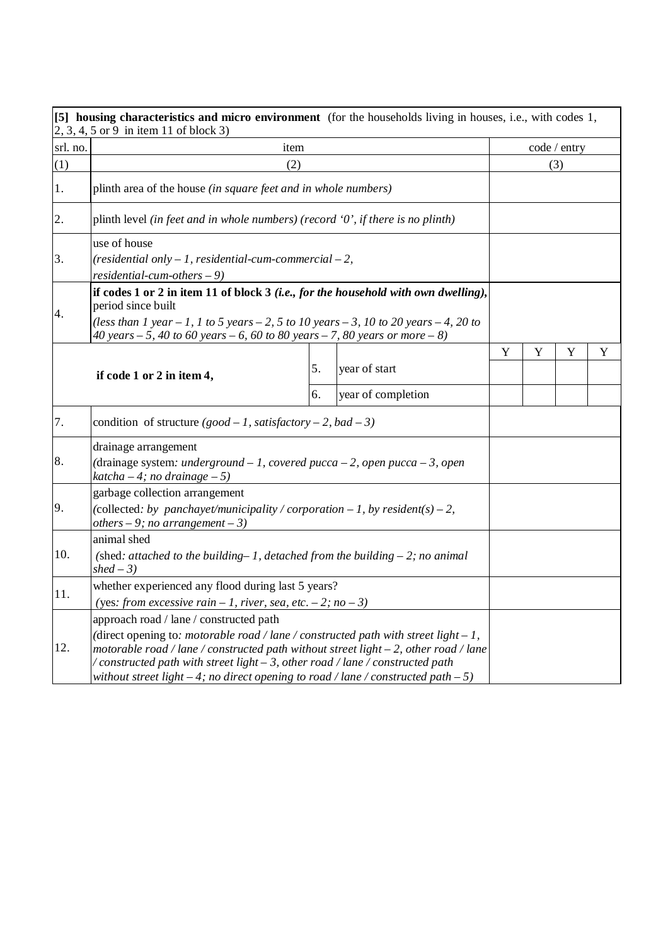|          | [5] housing characteristics and micro environment (for the households living in houses, i.e., with codes 1,<br>$2, 3, 4, 5$ or 9 in item 11 of block 3)                                                                                                                                                                                                                                               |    |                    |              |   |   |   |
|----------|-------------------------------------------------------------------------------------------------------------------------------------------------------------------------------------------------------------------------------------------------------------------------------------------------------------------------------------------------------------------------------------------------------|----|--------------------|--------------|---|---|---|
| srl. no. | item                                                                                                                                                                                                                                                                                                                                                                                                  |    |                    | code / entry |   |   |   |
| (1)      | (2)                                                                                                                                                                                                                                                                                                                                                                                                   |    |                    | (3)          |   |   |   |
| 1.       | plinth area of the house (in square feet and in whole numbers)                                                                                                                                                                                                                                                                                                                                        |    |                    |              |   |   |   |
| 2.       | plinth level (in feet and in whole numbers) (record $0$ ', if there is no plinth)                                                                                                                                                                                                                                                                                                                     |    |                    |              |   |   |   |
| 3.       | use of house<br>(residential only $-1$ , residential-cum-commercial $-2$ ,<br>$residential-cum-others-9)$                                                                                                                                                                                                                                                                                             |    |                    |              |   |   |   |
| 4.       | if codes 1 or 2 in item 11 of block 3 (i.e., for the household with own dwelling),<br>period since built                                                                                                                                                                                                                                                                                              |    |                    |              |   |   |   |
|          | (less than 1 year $-1$ , 1 to 5 years $-2$ , 5 to 10 years $-3$ , 10 to 20 years $-4$ , 20 to<br>40 years $-5$ , 40 to 60 years $-6$ , 60 to 80 years $-7$ , 80 years or more $-8$ )                                                                                                                                                                                                                  |    |                    |              |   |   |   |
|          |                                                                                                                                                                                                                                                                                                                                                                                                       |    |                    | Y            | Y | Y | Y |
|          | if code 1 or 2 in item 4,                                                                                                                                                                                                                                                                                                                                                                             | 5. | year of start      |              |   |   |   |
|          |                                                                                                                                                                                                                                                                                                                                                                                                       | б. | year of completion |              |   |   |   |
| 7.       | condition of structure $(good - 1, satisfy (at least or y - 2, bad - 3))$                                                                                                                                                                                                                                                                                                                             |    |                    |              |   |   |   |
| 8.       | drainage arrangement<br>(drainage system: underground $-1$ , covered pucca $-2$ , open pucca $-3$ , open<br>$katcha - 4$ ; no drainage - 5)                                                                                                                                                                                                                                                           |    |                    |              |   |   |   |
| 9.       | garbage collection arrangement<br>(collected: by panchayet/municipality / corporation $-1$ , by resident(s) $-2$ ,<br>others $-9$ ; no arrangement $-3$ )                                                                                                                                                                                                                                             |    |                    |              |   |   |   |
| 10.      | animal shed<br>(shed: attached to the building-1, detached from the building $-2$ ; no animal<br>$shed-3)$                                                                                                                                                                                                                                                                                            |    |                    |              |   |   |   |
| 11.      | whether experienced any flood during last 5 years?<br>(yes: from excessive rain $-1$ , river, sea, etc. $-2$ ; no $-3$ )                                                                                                                                                                                                                                                                              |    |                    |              |   |   |   |
| 12.      | approach road / lane / constructed path<br>(direct opening to: motorable road / lane / constructed path with street light $-1$ ,<br>motorable road / lane / constructed path without street light $-2$ , other road / lane<br>/constructed path with street light – 3, other road / lane / constructed path<br>without street light $-4$ ; no direct opening to road / lane / constructed path $-5$ ) |    |                    |              |   |   |   |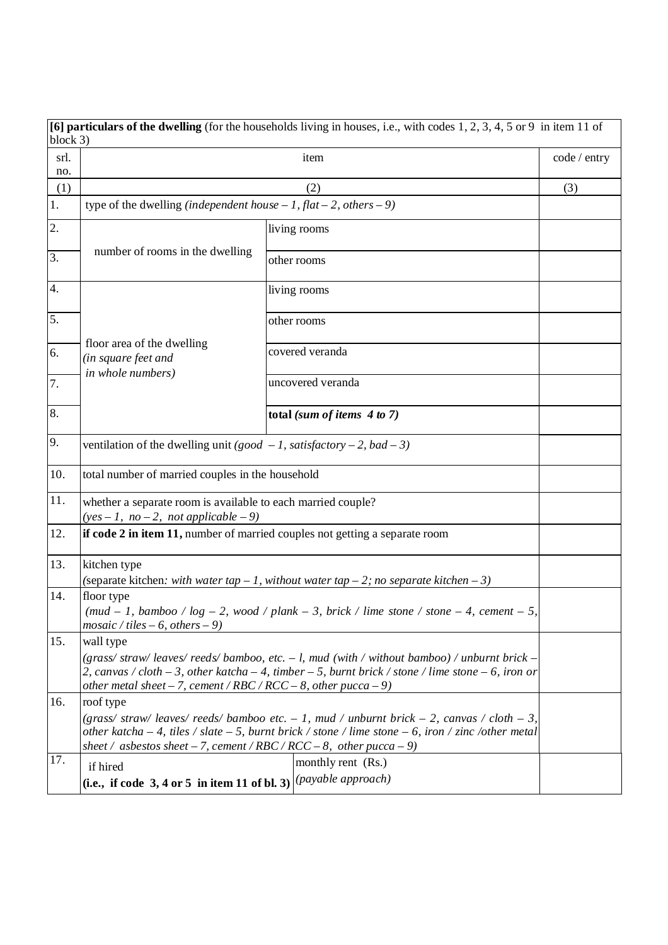|             | [6] particulars of the dwelling (for the households living in houses, i.e., with codes $1, 2, 3, 4, 5$ or 9 in item 11 of |                                                                                                            |              |  |  |  |  |  |  |
|-------------|---------------------------------------------------------------------------------------------------------------------------|------------------------------------------------------------------------------------------------------------|--------------|--|--|--|--|--|--|
| block 3)    |                                                                                                                           |                                                                                                            |              |  |  |  |  |  |  |
| srl.<br>no. |                                                                                                                           | item                                                                                                       | code / entry |  |  |  |  |  |  |
| (1)         |                                                                                                                           | (3)                                                                                                        |              |  |  |  |  |  |  |
| 1.          | type of the dwelling (independent house $-1$ , flat $-2$ , others $-9$ )                                                  |                                                                                                            |              |  |  |  |  |  |  |
| 2.          |                                                                                                                           |                                                                                                            |              |  |  |  |  |  |  |
|             |                                                                                                                           | living rooms                                                                                               |              |  |  |  |  |  |  |
| 3.          | number of rooms in the dwelling                                                                                           | other rooms                                                                                                |              |  |  |  |  |  |  |
| 4.          |                                                                                                                           | living rooms                                                                                               |              |  |  |  |  |  |  |
| 5.          |                                                                                                                           | other rooms                                                                                                |              |  |  |  |  |  |  |
|             |                                                                                                                           |                                                                                                            |              |  |  |  |  |  |  |
| 6.          | floor area of the dwelling<br>(in square feet and                                                                         | covered veranda                                                                                            |              |  |  |  |  |  |  |
| 7.          | in whole numbers)                                                                                                         | uncovered veranda                                                                                          |              |  |  |  |  |  |  |
|             |                                                                                                                           |                                                                                                            |              |  |  |  |  |  |  |
| 8.          |                                                                                                                           | total (sum of items $4 to 7$ )                                                                             |              |  |  |  |  |  |  |
| 9.          | ventilation of the dwelling unit (good $-1$ , satisfactory $-2$ , bad $-3$ )                                              |                                                                                                            |              |  |  |  |  |  |  |
| 10.         | total number of married couples in the household                                                                          |                                                                                                            |              |  |  |  |  |  |  |
| 11.         | whether a separate room is available to each married couple?                                                              |                                                                                                            |              |  |  |  |  |  |  |
|             | $(yes-1, no-2, not applicable-9)$                                                                                         |                                                                                                            |              |  |  |  |  |  |  |
| 12.         |                                                                                                                           | if code 2 in item 11, number of married couples not getting a separate room                                |              |  |  |  |  |  |  |
| 13.         | kitchen type                                                                                                              |                                                                                                            |              |  |  |  |  |  |  |
|             |                                                                                                                           | (separate kitchen: with water tap $-1$ , without water tap $-2$ ; no separate kitchen $-3$ )               |              |  |  |  |  |  |  |
| 14.         | floor type                                                                                                                |                                                                                                            |              |  |  |  |  |  |  |
|             | $mosaic / tiles - 6, others - 9)$                                                                                         | (mud – 1, bamboo / log – 2, wood / plank – 3, brick / lime stone / stone – 4, cement – 5,                  |              |  |  |  |  |  |  |
| 15.         | wall type                                                                                                                 |                                                                                                            |              |  |  |  |  |  |  |
|             |                                                                                                                           | (grass/straw/leaves/reeds/bamboo, etc. $-1$ , mud (with / without bamboo) / unburnt brick $-$              |              |  |  |  |  |  |  |
|             | other metal sheet - 7, cement / RBC / RCC - 8, other pucca - 9)                                                           | 2, canvas / cloth $-3$ , other katcha $-4$ , timber $-5$ , burnt brick / stone / lime stone $-6$ , iron or |              |  |  |  |  |  |  |
| 16.         | roof type                                                                                                                 |                                                                                                            |              |  |  |  |  |  |  |
|             |                                                                                                                           | (grass/straw/leaves/reeds/bamboo etc. $-1$ , mud / unburnt brick $-2$ , canvas / cloth $-3$ ,              |              |  |  |  |  |  |  |
|             |                                                                                                                           | other katcha $-4$ , tiles / slate $-5$ , burnt brick / stone / lime stone $-6$ , iron / zinc /other metal  |              |  |  |  |  |  |  |
| 17.         | sheet / asbestos sheet - 7, cement / RBC / RCC - 8, other pucca - 9)                                                      |                                                                                                            |              |  |  |  |  |  |  |
|             | if hired                                                                                                                  | monthly rent (Rs.)                                                                                         |              |  |  |  |  |  |  |
|             | (i.e., if code 3, 4 or 5 in item 11 of bl. 3) $ $ ( <i>payable approach</i> )                                             |                                                                                                            |              |  |  |  |  |  |  |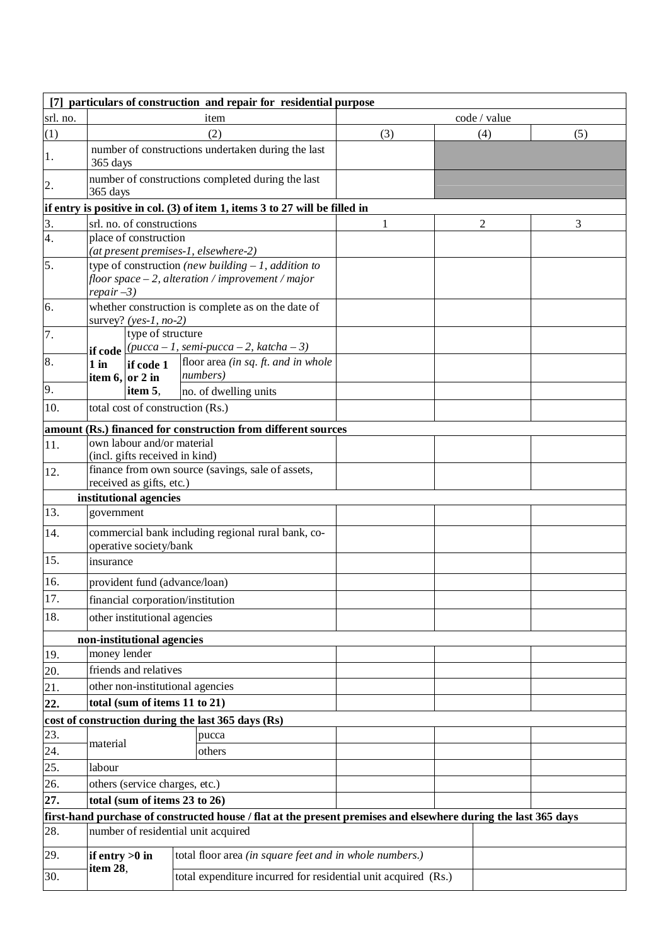|          | [7] particulars of construction and repair for residential purpose |                                                              |  |                                                                                                                |              |  |  |                |     |  |  |
|----------|--------------------------------------------------------------------|--------------------------------------------------------------|--|----------------------------------------------------------------------------------------------------------------|--------------|--|--|----------------|-----|--|--|
| srl. no. |                                                                    |                                                              |  | item                                                                                                           | code / value |  |  |                |     |  |  |
| (1)      |                                                                    |                                                              |  | (2)                                                                                                            | (3)          |  |  | (4)            | (5) |  |  |
| 1.       | 365 days                                                           |                                                              |  | number of constructions undertaken during the last                                                             |              |  |  |                |     |  |  |
| 2.       | 365 days                                                           |                                                              |  | number of constructions completed during the last                                                              |              |  |  |                |     |  |  |
|          |                                                                    |                                                              |  | if entry is positive in col. (3) of item 1, items 3 to 27 will be filled in                                    |              |  |  |                |     |  |  |
| 3.       |                                                                    | srl. no. of constructions                                    |  |                                                                                                                | 1            |  |  | $\overline{2}$ | 3   |  |  |
| 4.       |                                                                    | place of construction                                        |  | (at present premises-1, elsewhere-2)                                                                           |              |  |  |                |     |  |  |
| 5.       |                                                                    |                                                              |  | type of construction (new building $-1$ , addition to<br>floor space $-2$ , alteration / improvement / major   |              |  |  |                |     |  |  |
| 6.       | $repair-3)$                                                        | survey? (yes-1, no-2)                                        |  | whether construction is complete as on the date of                                                             |              |  |  |                |     |  |  |
| 7.       |                                                                    | type of structure                                            |  | if code $(pucca-1, semi-pucca-2, katcha-3)$                                                                    |              |  |  |                |     |  |  |
| 8.       | $1$ in<br>item 6, or 2 in                                          | if code 1                                                    |  | floor area (in sq. ft. and in whole<br>numbers)                                                                |              |  |  |                |     |  |  |
| 9.       |                                                                    | item 5.                                                      |  | no. of dwelling units                                                                                          |              |  |  |                |     |  |  |
| 10.      |                                                                    | total cost of construction (Rs.)                             |  |                                                                                                                |              |  |  |                |     |  |  |
|          |                                                                    |                                                              |  | amount (Rs.) financed for construction from different sources                                                  |              |  |  |                |     |  |  |
| 11.      |                                                                    | own labour and/or material<br>(incl. gifts received in kind) |  |                                                                                                                |              |  |  |                |     |  |  |
| 12.      |                                                                    | received as gifts, etc.)                                     |  | finance from own source (savings, sale of assets,                                                              |              |  |  |                |     |  |  |
|          |                                                                    | institutional agencies                                       |  |                                                                                                                |              |  |  |                |     |  |  |
| 13.      | government                                                         |                                                              |  |                                                                                                                |              |  |  |                |     |  |  |
| 14.      |                                                                    | operative society/bank                                       |  | commercial bank including regional rural bank, co-                                                             |              |  |  |                |     |  |  |
| 15.      | insurance                                                          |                                                              |  |                                                                                                                |              |  |  |                |     |  |  |
| 16.      |                                                                    | provident fund (advance/loan)                                |  |                                                                                                                |              |  |  |                |     |  |  |
| 17.      |                                                                    | financial corporation/institution                            |  |                                                                                                                |              |  |  |                |     |  |  |
| 18.      |                                                                    | other institutional agencies                                 |  |                                                                                                                |              |  |  |                |     |  |  |
|          |                                                                    | non-institutional agencies                                   |  |                                                                                                                |              |  |  |                |     |  |  |
| 19.      | money lender                                                       |                                                              |  |                                                                                                                |              |  |  |                |     |  |  |
| 20.      |                                                                    | friends and relatives                                        |  |                                                                                                                |              |  |  |                |     |  |  |
| 21.      |                                                                    | other non-institutional agencies                             |  |                                                                                                                |              |  |  |                |     |  |  |
| 22.      |                                                                    | total (sum of items 11 to 21)                                |  |                                                                                                                |              |  |  |                |     |  |  |
|          |                                                                    |                                                              |  | cost of construction during the last 365 days (Rs)                                                             |              |  |  |                |     |  |  |
| 23.      | material                                                           |                                                              |  | pucca                                                                                                          |              |  |  |                |     |  |  |
| 24.      |                                                                    |                                                              |  | others                                                                                                         |              |  |  |                |     |  |  |
| 25.      | labour                                                             |                                                              |  |                                                                                                                |              |  |  |                |     |  |  |
| 26.      |                                                                    | others (service charges, etc.)                               |  |                                                                                                                |              |  |  |                |     |  |  |
| 27.      |                                                                    | total (sum of items 23 to 26)                                |  |                                                                                                                |              |  |  |                |     |  |  |
|          |                                                                    |                                                              |  | first-hand purchase of constructed house / flat at the present premises and elsewhere during the last 365 days |              |  |  |                |     |  |  |
| 28.      |                                                                    |                                                              |  | number of residential unit acquired                                                                            |              |  |  |                |     |  |  |
| 29.      | if entry $>0$ in<br>item 28,                                       |                                                              |  | total floor area (in square feet and in whole numbers.)                                                        |              |  |  |                |     |  |  |
| 30.      |                                                                    |                                                              |  | total expenditure incurred for residential unit acquired (Rs.)                                                 |              |  |  |                |     |  |  |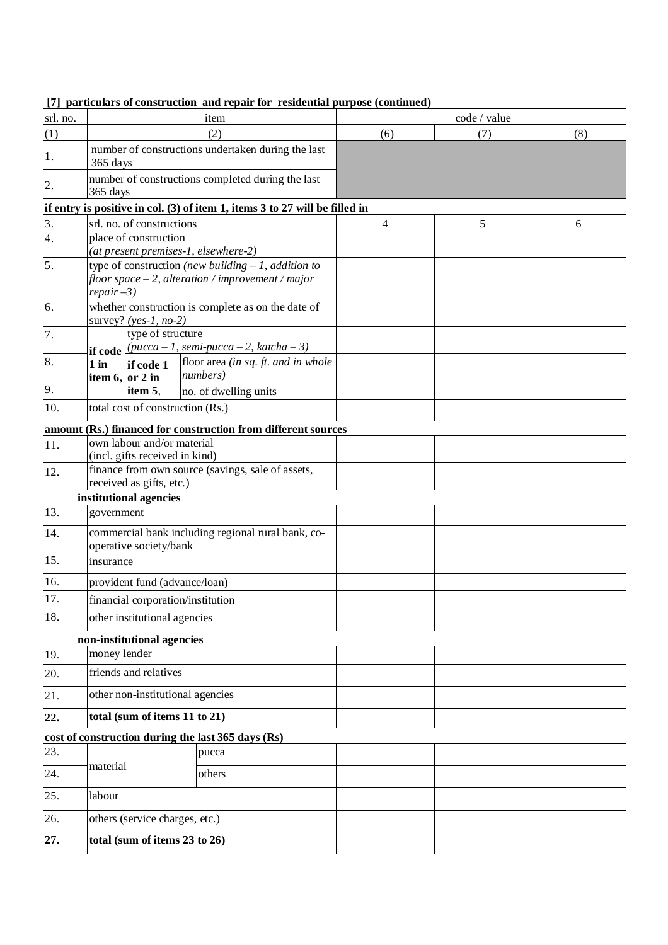|          | [7] particulars of construction and repair for residential purpose (continued) |                                  |                                                                                                              |                          |              |     |  |  |  |
|----------|--------------------------------------------------------------------------------|----------------------------------|--------------------------------------------------------------------------------------------------------------|--------------------------|--------------|-----|--|--|--|
| srl. no. |                                                                                |                                  | item                                                                                                         |                          | code / value |     |  |  |  |
| (1)      |                                                                                |                                  | (2)                                                                                                          | (6)                      | (7)          | (8) |  |  |  |
| 1.       | 365 days                                                                       |                                  | number of constructions undertaken during the last                                                           |                          |              |     |  |  |  |
| 2.       | 365 days                                                                       |                                  | number of constructions completed during the last                                                            |                          |              |     |  |  |  |
|          |                                                                                |                                  | if entry is positive in col. (3) of item 1, items 3 to 27 will be filled in                                  |                          |              |     |  |  |  |
| 3.       |                                                                                | srl. no. of constructions        |                                                                                                              | $\overline{\mathcal{L}}$ | 5            | 6   |  |  |  |
| 4.       |                                                                                | place of construction            |                                                                                                              |                          |              |     |  |  |  |
|          |                                                                                |                                  | (at present premises-1, elsewhere-2)                                                                         |                          |              |     |  |  |  |
| 5.       | $repair-3)$                                                                    |                                  | type of construction (new building $-1$ , addition to<br>floor space $-2$ , alteration / improvement / major |                          |              |     |  |  |  |
| 6.       |                                                                                |                                  | whether construction is complete as on the date of                                                           |                          |              |     |  |  |  |
|          |                                                                                | survey? (yes-1, no-2)            |                                                                                                              |                          |              |     |  |  |  |
| 7.       |                                                                                | type of structure                | if code $(pucca - 1, semi-pucca - 2, katcha - 3)$                                                            |                          |              |     |  |  |  |
| 8.       | $1$ in                                                                         | if code 1<br>item $6,$ or 2 in   | floor area (in sq. ft. and in whole<br>numbers)                                                              |                          |              |     |  |  |  |
| 9.       |                                                                                | item 5,                          | no. of dwelling units                                                                                        |                          |              |     |  |  |  |
| 10.      |                                                                                | total cost of construction (Rs.) |                                                                                                              |                          |              |     |  |  |  |
|          |                                                                                |                                  | amount (Rs.) financed for construction from different sources                                                |                          |              |     |  |  |  |
| 11.      |                                                                                | own labour and/or material       |                                                                                                              |                          |              |     |  |  |  |
|          |                                                                                | (incl. gifts received in kind)   |                                                                                                              |                          |              |     |  |  |  |
| 12.      |                                                                                | received as gifts, etc.)         | finance from own source (savings, sale of assets,                                                            |                          |              |     |  |  |  |
|          |                                                                                | institutional agencies           |                                                                                                              |                          |              |     |  |  |  |
| 13.      | government                                                                     |                                  |                                                                                                              |                          |              |     |  |  |  |
| 14.      |                                                                                | operative society/bank           | commercial bank including regional rural bank, co-                                                           |                          |              |     |  |  |  |
| 15.      | insurance                                                                      |                                  |                                                                                                              |                          |              |     |  |  |  |
| 16.      |                                                                                | provident fund (advance/loan)    |                                                                                                              |                          |              |     |  |  |  |
| 17.      |                                                                                |                                  | financial corporation/institution                                                                            |                          |              |     |  |  |  |
| 18.      |                                                                                | other institutional agencies     |                                                                                                              |                          |              |     |  |  |  |
|          |                                                                                | non-institutional agencies       |                                                                                                              |                          |              |     |  |  |  |
| 19.      | money lender                                                                   |                                  |                                                                                                              |                          |              |     |  |  |  |
| 20.      |                                                                                | friends and relatives            |                                                                                                              |                          |              |     |  |  |  |
| 21.      |                                                                                |                                  | other non-institutional agencies                                                                             |                          |              |     |  |  |  |
| 22.      |                                                                                | total (sum of items 11 to 21)    |                                                                                                              |                          |              |     |  |  |  |
|          |                                                                                |                                  | cost of construction during the last 365 days (Rs)                                                           |                          |              |     |  |  |  |
| 23.      |                                                                                |                                  | pucca                                                                                                        |                          |              |     |  |  |  |
| 24.      | material                                                                       |                                  | others                                                                                                       |                          |              |     |  |  |  |
| 25.      | labour                                                                         |                                  |                                                                                                              |                          |              |     |  |  |  |
| 26.      |                                                                                | others (service charges, etc.)   |                                                                                                              |                          |              |     |  |  |  |
| 27.      |                                                                                | total (sum of items 23 to 26)    |                                                                                                              |                          |              |     |  |  |  |